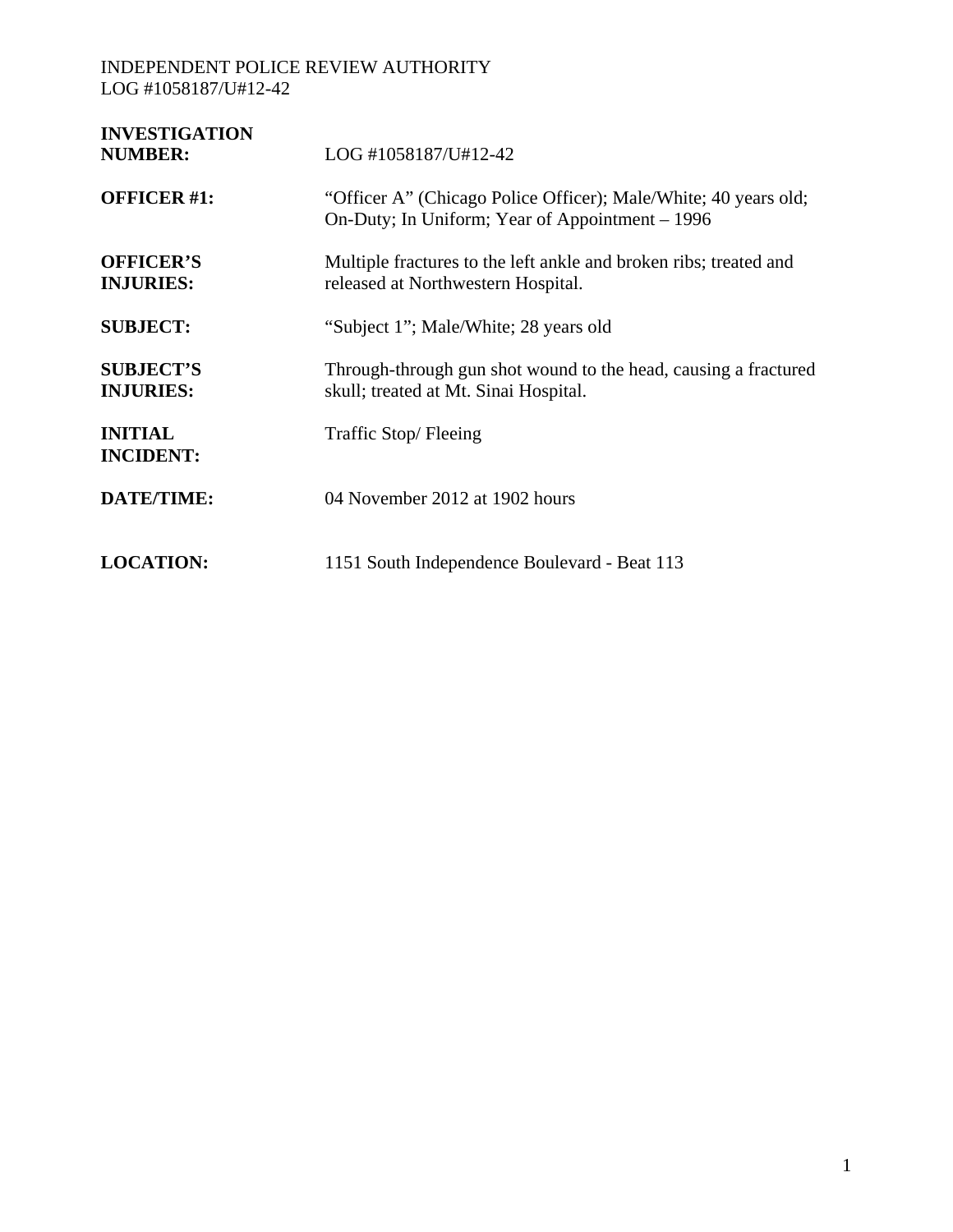| <b>INVESTIGATION</b><br><b>NUMBER:</b> | LOG #1058187/U#12-42                                                                                               |
|----------------------------------------|--------------------------------------------------------------------------------------------------------------------|
| <b>OFFICER #1:</b>                     | "Officer A" (Chicago Police Officer); Male/White; 40 years old;<br>On-Duty; In Uniform; Year of Appointment – 1996 |
| <b>OFFICER'S</b><br><b>INJURIES:</b>   | Multiple fractures to the left ankle and broken ribs; treated and<br>released at Northwestern Hospital.            |
| <b>SUBJECT:</b>                        | "Subject 1"; Male/White; 28 years old                                                                              |
| <b>SUBJECT'S</b><br><b>INJURIES:</b>   | Through-through gun shot wound to the head, causing a fractured<br>skull; treated at Mt. Sinai Hospital.           |
| <b>INITIAL</b><br><b>INCIDENT:</b>     | Traffic Stop/Fleeing                                                                                               |
| <b>DATE/TIME:</b>                      | 04 November 2012 at 1902 hours                                                                                     |
| <b>LOCATION:</b>                       | 1151 South Independence Boulevard - Beat 113                                                                       |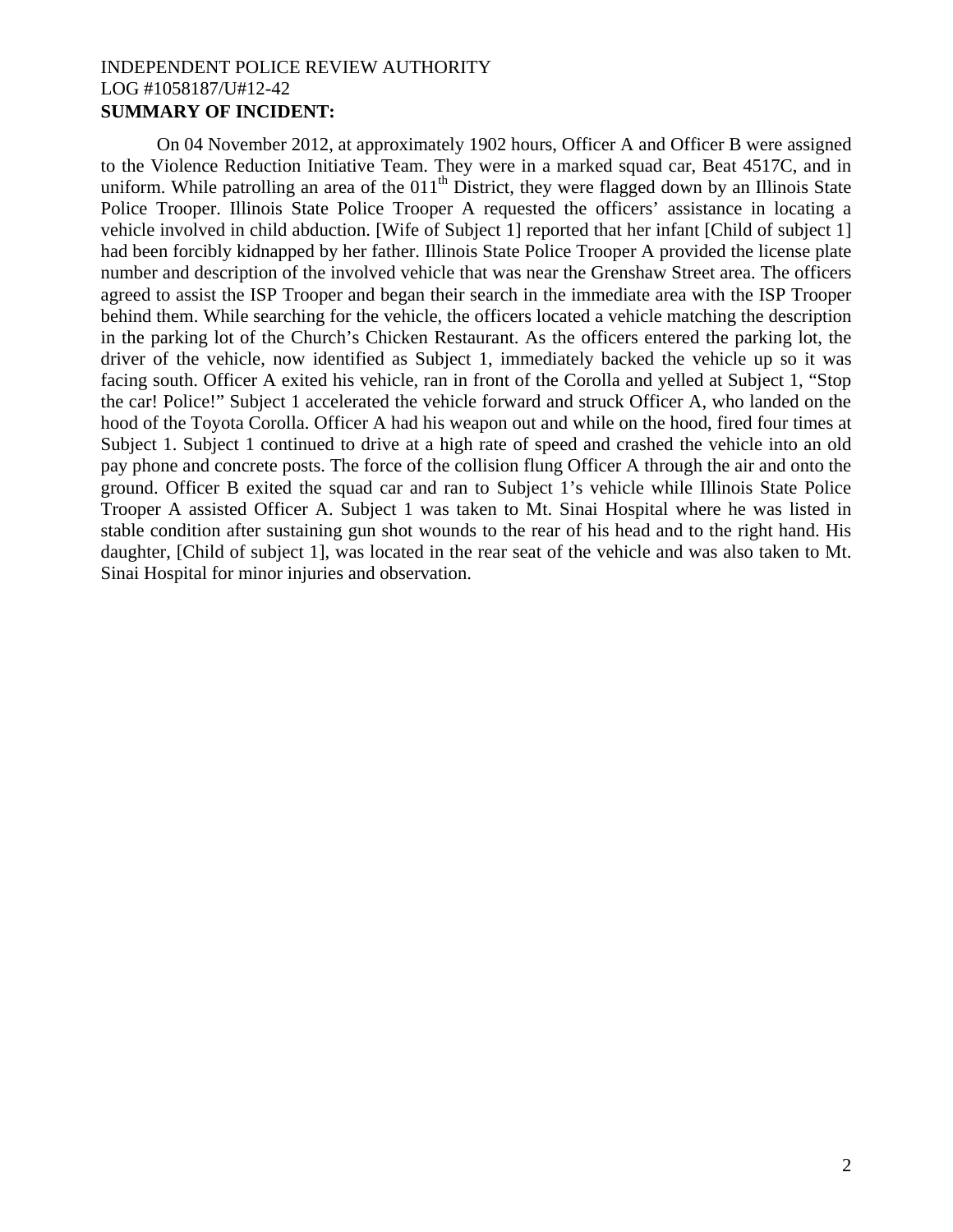## INDEPENDENT POLICE REVIEW AUTHORITY LOG #1058187/U#12-42 **SUMMARY OF INCIDENT:**

On 04 November 2012, at approximately 1902 hours, Officer A and Officer B were assigned to the Violence Reduction Initiative Team. They were in a marked squad car, Beat 4517C, and in uniform. While patrolling an area of the  $011<sup>th</sup>$  District, they were flagged down by an Illinois State Police Trooper. Illinois State Police Trooper A requested the officers' assistance in locating a vehicle involved in child abduction. [Wife of Subject 1] reported that her infant [Child of subject 1] had been forcibly kidnapped by her father. Illinois State Police Trooper A provided the license plate number and description of the involved vehicle that was near the Grenshaw Street area. The officers agreed to assist the ISP Trooper and began their search in the immediate area with the ISP Trooper behind them. While searching for the vehicle, the officers located a vehicle matching the description in the parking lot of the Church's Chicken Restaurant. As the officers entered the parking lot, the driver of the vehicle, now identified as Subject 1, immediately backed the vehicle up so it was facing south. Officer A exited his vehicle, ran in front of the Corolla and yelled at Subject 1, "Stop the car! Police!" Subject 1 accelerated the vehicle forward and struck Officer A, who landed on the hood of the Toyota Corolla. Officer A had his weapon out and while on the hood, fired four times at Subject 1. Subject 1 continued to drive at a high rate of speed and crashed the vehicle into an old pay phone and concrete posts. The force of the collision flung Officer A through the air and onto the ground. Officer B exited the squad car and ran to Subject 1's vehicle while Illinois State Police Trooper A assisted Officer A. Subject 1 was taken to Mt. Sinai Hospital where he was listed in stable condition after sustaining gun shot wounds to the rear of his head and to the right hand. His daughter, [Child of subject 1], was located in the rear seat of the vehicle and was also taken to Mt. Sinai Hospital for minor injuries and observation.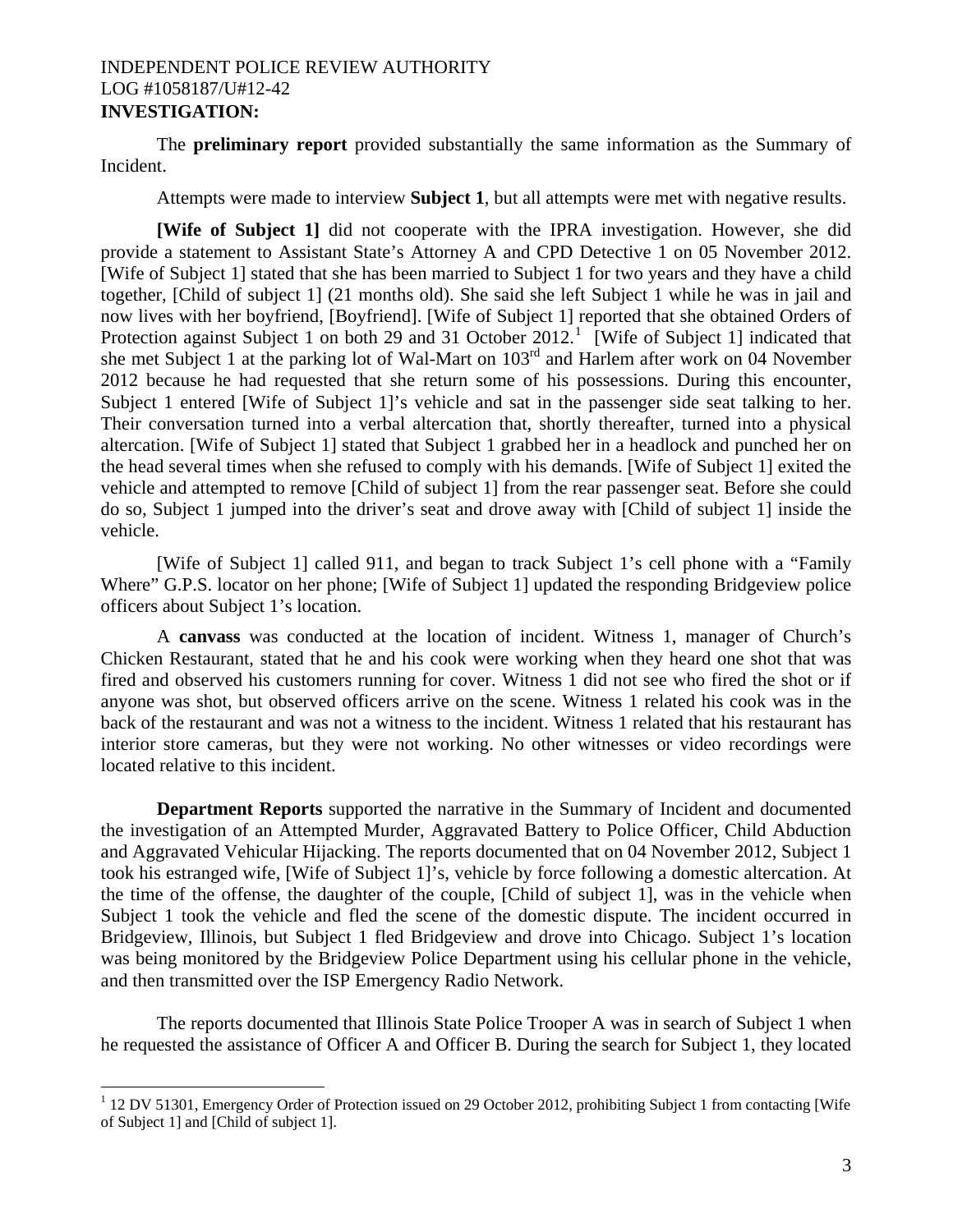## INDEPENDENT POLICE REVIEW AUTHORITY LOG #1058187/U#12-42 **INVESTIGATION:**

The **preliminary report** provided substantially the same information as the Summary of Incident.

Attempts were made to interview **Subject 1**, but all attempts were met with negative results.

**[Wife of Subject 1]** did not cooperate with the IPRA investigation. However, she did provide a statement to Assistant State's Attorney A and CPD Detective 1 on 05 November 2012. [Wife of Subject 1] stated that she has been married to Subject 1 for two years and they have a child together, [Child of subject 1] (21 months old). She said she left Subject 1 while he was in jail and now lives with her boyfriend, [Boyfriend]. [Wife of Subject 1] reported that she obtained Orders of Protection against Subject [1](#page-2-0) on both 29 and 31 October 2012.<sup>1</sup> [Wife of Subject 1] indicated that she met Subject 1 at the parking lot of Wal-Mart on 103<sup>rd</sup> and Harlem after work on 04 November 2012 because he had requested that she return some of his possessions. During this encounter, Subject 1 entered [Wife of Subject 1]'s vehicle and sat in the passenger side seat talking to her. Their conversation turned into a verbal altercation that, shortly thereafter, turned into a physical altercation. [Wife of Subject 1] stated that Subject 1 grabbed her in a headlock and punched her on the head several times when she refused to comply with his demands. [Wife of Subject 1] exited the vehicle and attempted to remove [Child of subject 1] from the rear passenger seat. Before she could do so, Subject 1 jumped into the driver's seat and drove away with [Child of subject 1] inside the vehicle.

[Wife of Subject 1] called 911, and began to track Subject 1's cell phone with a "Family Where" G.P.S. locator on her phone; [Wife of Subject 1] updated the responding Bridgeview police officers about Subject 1's location.

A **canvass** was conducted at the location of incident. Witness 1, manager of Church's Chicken Restaurant, stated that he and his cook were working when they heard one shot that was fired and observed his customers running for cover. Witness 1 did not see who fired the shot or if anyone was shot, but observed officers arrive on the scene. Witness 1 related his cook was in the back of the restaurant and was not a witness to the incident. Witness 1 related that his restaurant has interior store cameras, but they were not working. No other witnesses or video recordings were located relative to this incident.

**Department Reports** supported the narrative in the Summary of Incident and documented the investigation of an Attempted Murder, Aggravated Battery to Police Officer, Child Abduction and Aggravated Vehicular Hijacking. The reports documented that on 04 November 2012, Subject 1 took his estranged wife, [Wife of Subject 1]'s, vehicle by force following a domestic altercation. At the time of the offense, the daughter of the couple, [Child of subject 1], was in the vehicle when Subject 1 took the vehicle and fled the scene of the domestic dispute. The incident occurred in Bridgeview, Illinois, but Subject 1 fled Bridgeview and drove into Chicago. Subject 1's location was being monitored by the Bridgeview Police Department using his cellular phone in the vehicle, and then transmitted over the ISP Emergency Radio Network.

The reports documented that Illinois State Police Trooper A was in search of Subject 1 when he requested the assistance of Officer A and Officer B. During the search for Subject 1, they located

 $\overline{a}$ 

<span id="page-2-0"></span><sup>&</sup>lt;sup>1</sup> 12 DV 51301, Emergency Order of Protection issued on 29 October 2012, prohibiting Subject 1 from contacting [Wife of Subject 1] and [Child of subject 1].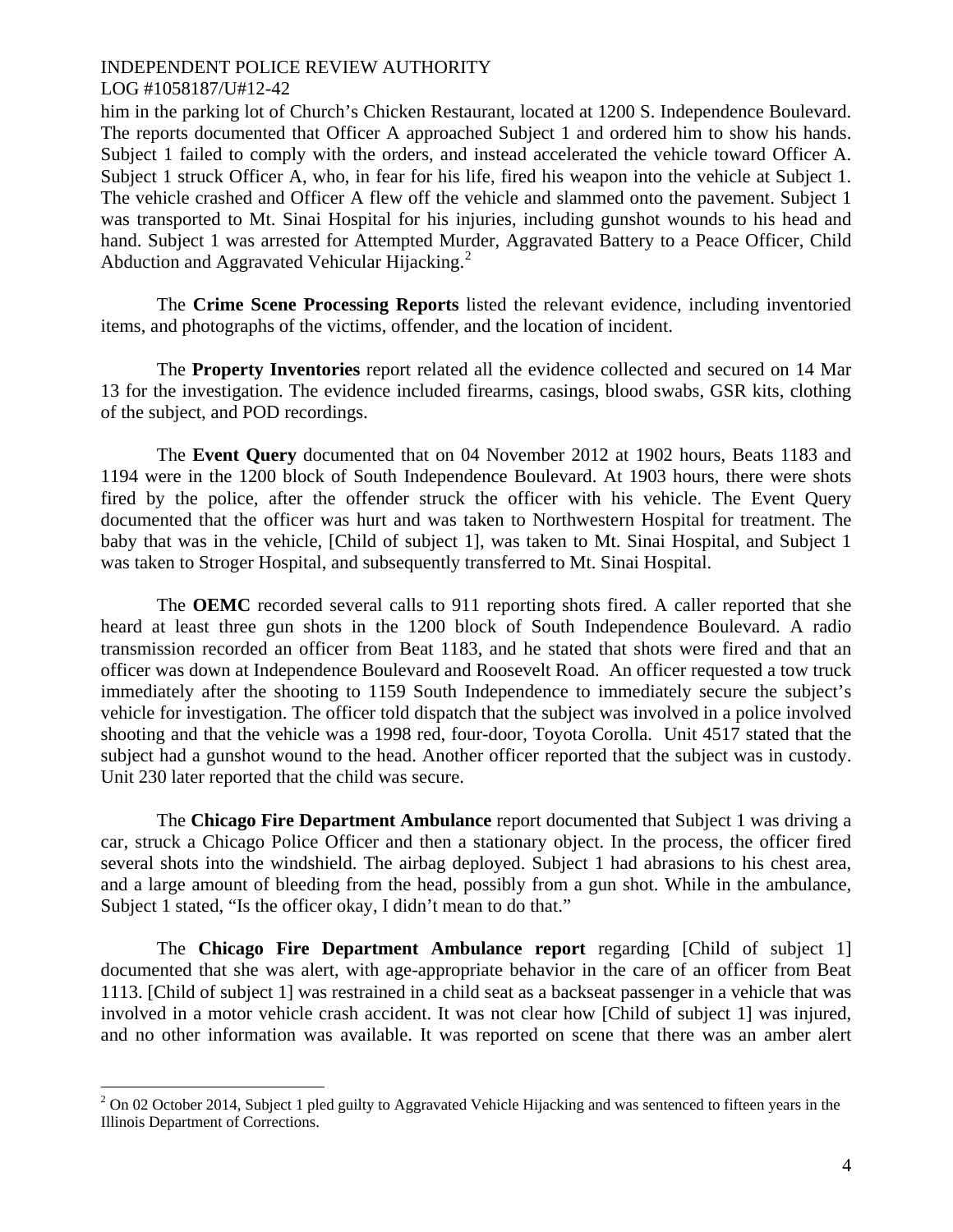him in the parking lot of Church's Chicken Restaurant, located at 1200 S. Independence Boulevard. The reports documented that Officer A approached Subject 1 and ordered him to show his hands. Subject 1 failed to comply with the orders, and instead accelerated the vehicle toward Officer A. Subject 1 struck Officer A, who, in fear for his life, fired his weapon into the vehicle at Subject 1. The vehicle crashed and Officer A flew off the vehicle and slammed onto the pavement. Subject 1 was transported to Mt. Sinai Hospital for his injuries, including gunshot wounds to his head and hand. Subject 1 was arrested for Attempted Murder, Aggravated Battery to a Peace Officer, Child Abduction and Aggravated Vehicular Hijacking. $2$ 

The **Crime Scene Processing Reports** listed the relevant evidence, including inventoried items, and photographs of the victims, offender, and the location of incident.

 The **Property Inventories** report related all the evidence collected and secured on 14 Mar 13 for the investigation. The evidence included firearms, casings, blood swabs, GSR kits, clothing of the subject, and POD recordings.

The **Event Query** documented that on 04 November 2012 at 1902 hours, Beats 1183 and 1194 were in the 1200 block of South Independence Boulevard. At 1903 hours, there were shots fired by the police, after the offender struck the officer with his vehicle. The Event Query documented that the officer was hurt and was taken to Northwestern Hospital for treatment. The baby that was in the vehicle, [Child of subject 1], was taken to Mt. Sinai Hospital, and Subject 1 was taken to Stroger Hospital, and subsequently transferred to Mt. Sinai Hospital.

The **OEMC** recorded several calls to 911 reporting shots fired. A caller reported that she heard at least three gun shots in the 1200 block of South Independence Boulevard. A radio transmission recorded an officer from Beat 1183, and he stated that shots were fired and that an officer was down at Independence Boulevard and Roosevelt Road. An officer requested a tow truck immediately after the shooting to 1159 South Independence to immediately secure the subject's vehicle for investigation. The officer told dispatch that the subject was involved in a police involved shooting and that the vehicle was a 1998 red, four-door, Toyota Corolla. Unit 4517 stated that the subject had a gunshot wound to the head. Another officer reported that the subject was in custody. Unit 230 later reported that the child was secure.

The **Chicago Fire Department Ambulance** report documented that Subject 1 was driving a car, struck a Chicago Police Officer and then a stationary object. In the process, the officer fired several shots into the windshield. The airbag deployed. Subject 1 had abrasions to his chest area, and a large amount of bleeding from the head, possibly from a gun shot. While in the ambulance, Subject 1 stated, "Is the officer okay, I didn't mean to do that."

The **Chicago Fire Department Ambulance report** regarding [Child of subject 1] documented that she was alert, with age-appropriate behavior in the care of an officer from Beat 1113. [Child of subject 1] was restrained in a child seat as a backseat passenger in a vehicle that was involved in a motor vehicle crash accident. It was not clear how [Child of subject 1] was injured, and no other information was available. It was reported on scene that there was an amber alert

 $\overline{a}$ 

<span id="page-3-0"></span> $2$  On 02 October 2014, Subject 1 pled guilty to Aggravated Vehicle Hijacking and was sentenced to fifteen years in the Illinois Department of Corrections.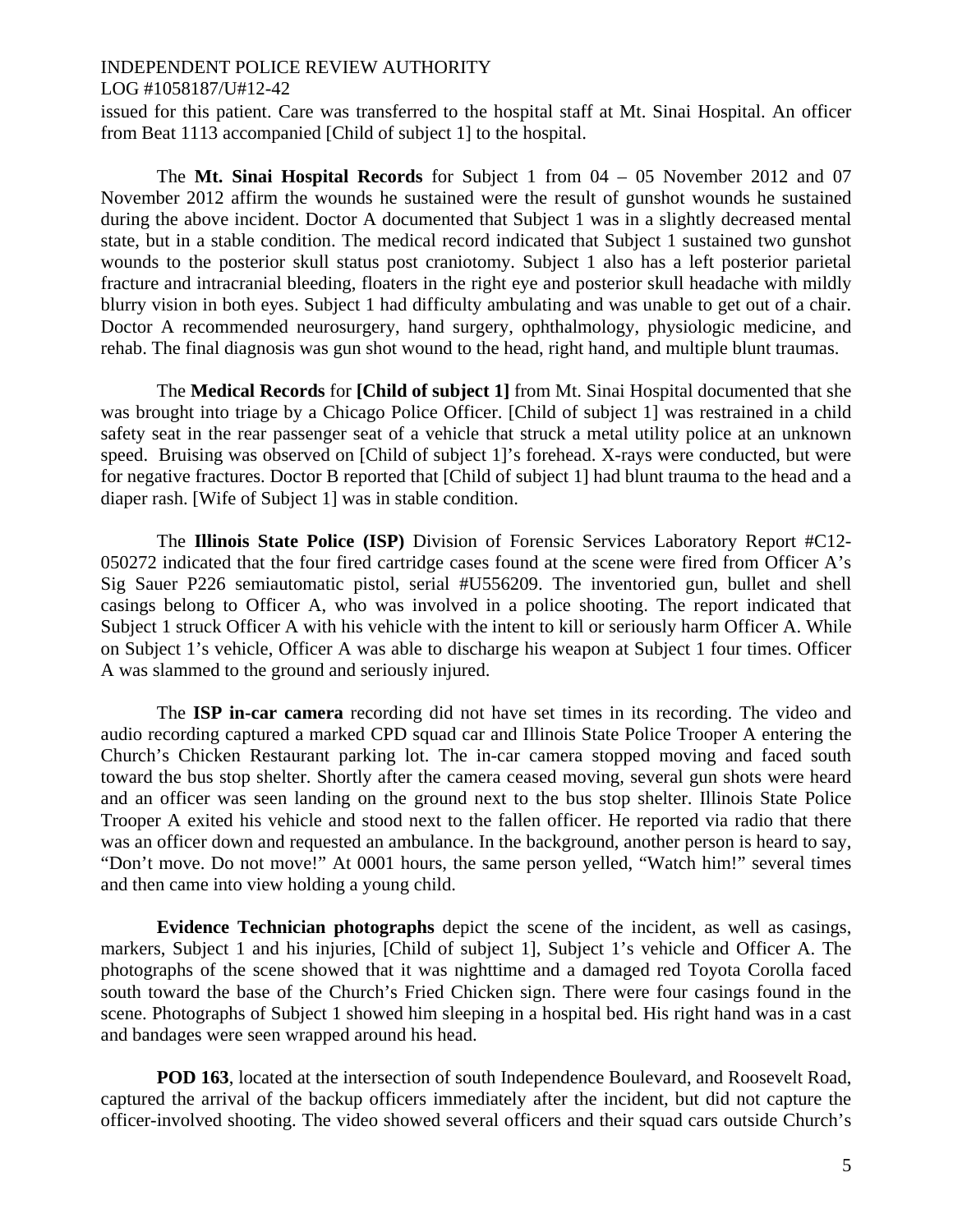# INDEPENDENT POLICE REVIEW AUTHORITY

# LOG #1058187/U#12-42

issued for this patient. Care was transferred to the hospital staff at Mt. Sinai Hospital. An officer from Beat 1113 accompanied [Child of subject 1] to the hospital.

The **Mt. Sinai Hospital Records** for Subject 1 from 04 – 05 November 2012 and 07 November 2012 affirm the wounds he sustained were the result of gunshot wounds he sustained during the above incident. Doctor A documented that Subject 1 was in a slightly decreased mental state, but in a stable condition. The medical record indicated that Subject 1 sustained two gunshot wounds to the posterior skull status post craniotomy. Subject 1 also has a left posterior parietal fracture and intracranial bleeding, floaters in the right eye and posterior skull headache with mildly blurry vision in both eyes. Subject 1 had difficulty ambulating and was unable to get out of a chair. Doctor A recommended neurosurgery, hand surgery, ophthalmology, physiologic medicine, and rehab. The final diagnosis was gun shot wound to the head, right hand, and multiple blunt traumas.

The **Medical Records** for **[Child of subject 1]** from Mt. Sinai Hospital documented that she was brought into triage by a Chicago Police Officer. [Child of subject 1] was restrained in a child safety seat in the rear passenger seat of a vehicle that struck a metal utility police at an unknown speed. Bruising was observed on [Child of subject 1]'s forehead. X-rays were conducted, but were for negative fractures. Doctor B reported that [Child of subject 1] had blunt trauma to the head and a diaper rash. [Wife of Subject 1] was in stable condition.

The **Illinois State Police (ISP)** Division of Forensic Services Laboratory Report #C12- 050272 indicated that the four fired cartridge cases found at the scene were fired from Officer A's Sig Sauer P226 semiautomatic pistol, serial #U556209. The inventoried gun, bullet and shell casings belong to Officer A, who was involved in a police shooting. The report indicated that Subject 1 struck Officer A with his vehicle with the intent to kill or seriously harm Officer A. While on Subject 1's vehicle, Officer A was able to discharge his weapon at Subject 1 four times. Officer A was slammed to the ground and seriously injured.

The **ISP in-car camera** recording did not have set times in its recording. The video and audio recording captured a marked CPD squad car and Illinois State Police Trooper A entering the Church's Chicken Restaurant parking lot. The in-car camera stopped moving and faced south toward the bus stop shelter. Shortly after the camera ceased moving, several gun shots were heard and an officer was seen landing on the ground next to the bus stop shelter. Illinois State Police Trooper A exited his vehicle and stood next to the fallen officer. He reported via radio that there was an officer down and requested an ambulance. In the background, another person is heard to say, "Don't move. Do not move!" At 0001 hours, the same person yelled, "Watch him!" several times and then came into view holding a young child.

**Evidence Technician photographs** depict the scene of the incident, as well as casings, markers, Subject 1 and his injuries, [Child of subject 1], Subject 1's vehicle and Officer A. The photographs of the scene showed that it was nighttime and a damaged red Toyota Corolla faced south toward the base of the Church's Fried Chicken sign. There were four casings found in the scene. Photographs of Subject 1 showed him sleeping in a hospital bed. His right hand was in a cast and bandages were seen wrapped around his head.

**POD 163**, located at the intersection of south Independence Boulevard, and Roosevelt Road, captured the arrival of the backup officers immediately after the incident, but did not capture the officer-involved shooting. The video showed several officers and their squad cars outside Church's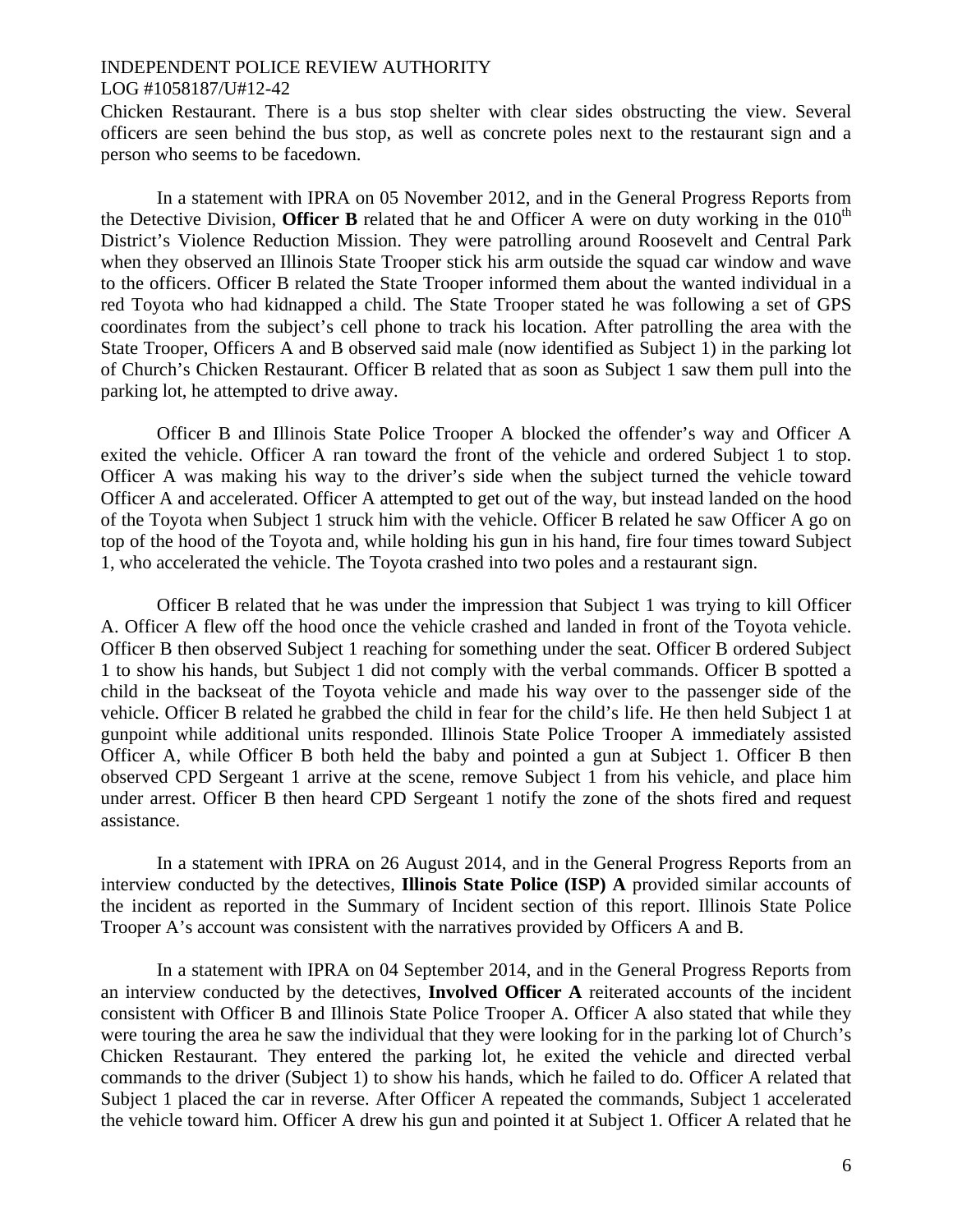Chicken Restaurant. There is a bus stop shelter with clear sides obstructing the view. Several officers are seen behind the bus stop, as well as concrete poles next to the restaurant sign and a person who seems to be facedown.

In a statement with IPRA on 05 November 2012, and in the General Progress Reports from the Detective Division, **Officer B** related that he and Officer A were on duty working in the  $010<sup>th</sup>$ District's Violence Reduction Mission. They were patrolling around Roosevelt and Central Park when they observed an Illinois State Trooper stick his arm outside the squad car window and wave to the officers. Officer B related the State Trooper informed them about the wanted individual in a red Toyota who had kidnapped a child. The State Trooper stated he was following a set of GPS coordinates from the subject's cell phone to track his location. After patrolling the area with the State Trooper, Officers A and B observed said male (now identified as Subject 1) in the parking lot of Church's Chicken Restaurant. Officer B related that as soon as Subject 1 saw them pull into the parking lot, he attempted to drive away.

Officer B and Illinois State Police Trooper A blocked the offender's way and Officer A exited the vehicle. Officer A ran toward the front of the vehicle and ordered Subject 1 to stop. Officer A was making his way to the driver's side when the subject turned the vehicle toward Officer A and accelerated. Officer A attempted to get out of the way, but instead landed on the hood of the Toyota when Subject 1 struck him with the vehicle. Officer B related he saw Officer A go on top of the hood of the Toyota and, while holding his gun in his hand, fire four times toward Subject 1, who accelerated the vehicle. The Toyota crashed into two poles and a restaurant sign.

Officer B related that he was under the impression that Subject 1 was trying to kill Officer A. Officer A flew off the hood once the vehicle crashed and landed in front of the Toyota vehicle. Officer B then observed Subject 1 reaching for something under the seat. Officer B ordered Subject 1 to show his hands, but Subject 1 did not comply with the verbal commands. Officer B spotted a child in the backseat of the Toyota vehicle and made his way over to the passenger side of the vehicle. Officer B related he grabbed the child in fear for the child's life. He then held Subject 1 at gunpoint while additional units responded. Illinois State Police Trooper A immediately assisted Officer A, while Officer B both held the baby and pointed a gun at Subject 1. Officer B then observed CPD Sergeant 1 arrive at the scene, remove Subject 1 from his vehicle, and place him under arrest. Officer B then heard CPD Sergeant 1 notify the zone of the shots fired and request assistance.

In a statement with IPRA on 26 August 2014, and in the General Progress Reports from an interview conducted by the detectives, **Illinois State Police (ISP) A** provided similar accounts of the incident as reported in the Summary of Incident section of this report. Illinois State Police Trooper A's account was consistent with the narratives provided by Officers A and B.

In a statement with IPRA on 04 September 2014, and in the General Progress Reports from an interview conducted by the detectives, **Involved Officer A** reiterated accounts of the incident consistent with Officer B and Illinois State Police Trooper A. Officer A also stated that while they were touring the area he saw the individual that they were looking for in the parking lot of Church's Chicken Restaurant. They entered the parking lot, he exited the vehicle and directed verbal commands to the driver (Subject 1) to show his hands, which he failed to do. Officer A related that Subject 1 placed the car in reverse. After Officer A repeated the commands, Subject 1 accelerated the vehicle toward him. Officer A drew his gun and pointed it at Subject 1. Officer A related that he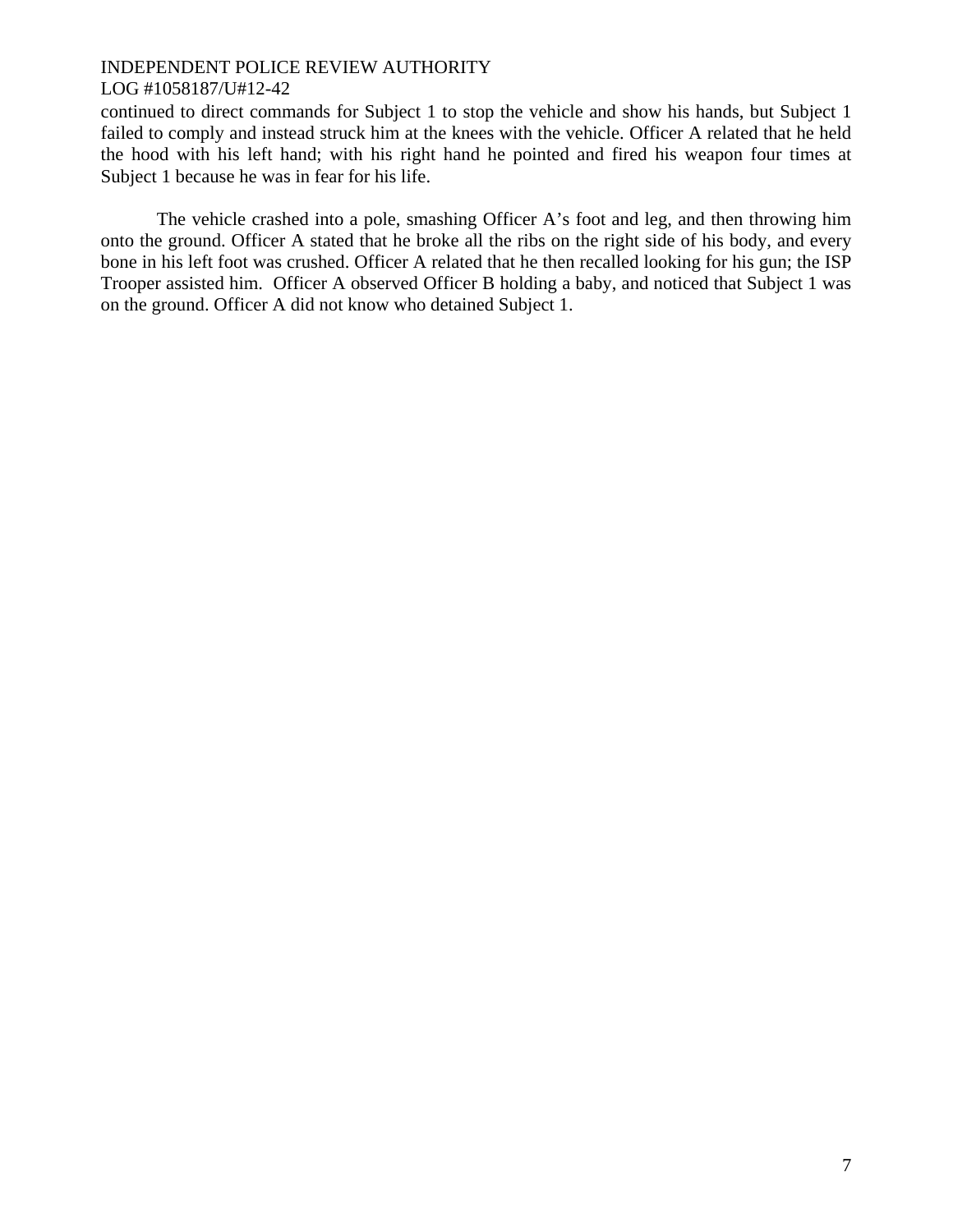continued to direct commands for Subject 1 to stop the vehicle and show his hands, but Subject 1 failed to comply and instead struck him at the knees with the vehicle. Officer A related that he held the hood with his left hand; with his right hand he pointed and fired his weapon four times at Subject 1 because he was in fear for his life.

The vehicle crashed into a pole, smashing Officer A's foot and leg, and then throwing him onto the ground. Officer A stated that he broke all the ribs on the right side of his body, and every bone in his left foot was crushed. Officer A related that he then recalled looking for his gun; the ISP Trooper assisted him. Officer A observed Officer B holding a baby, and noticed that Subject 1 was on the ground. Officer A did not know who detained Subject 1.